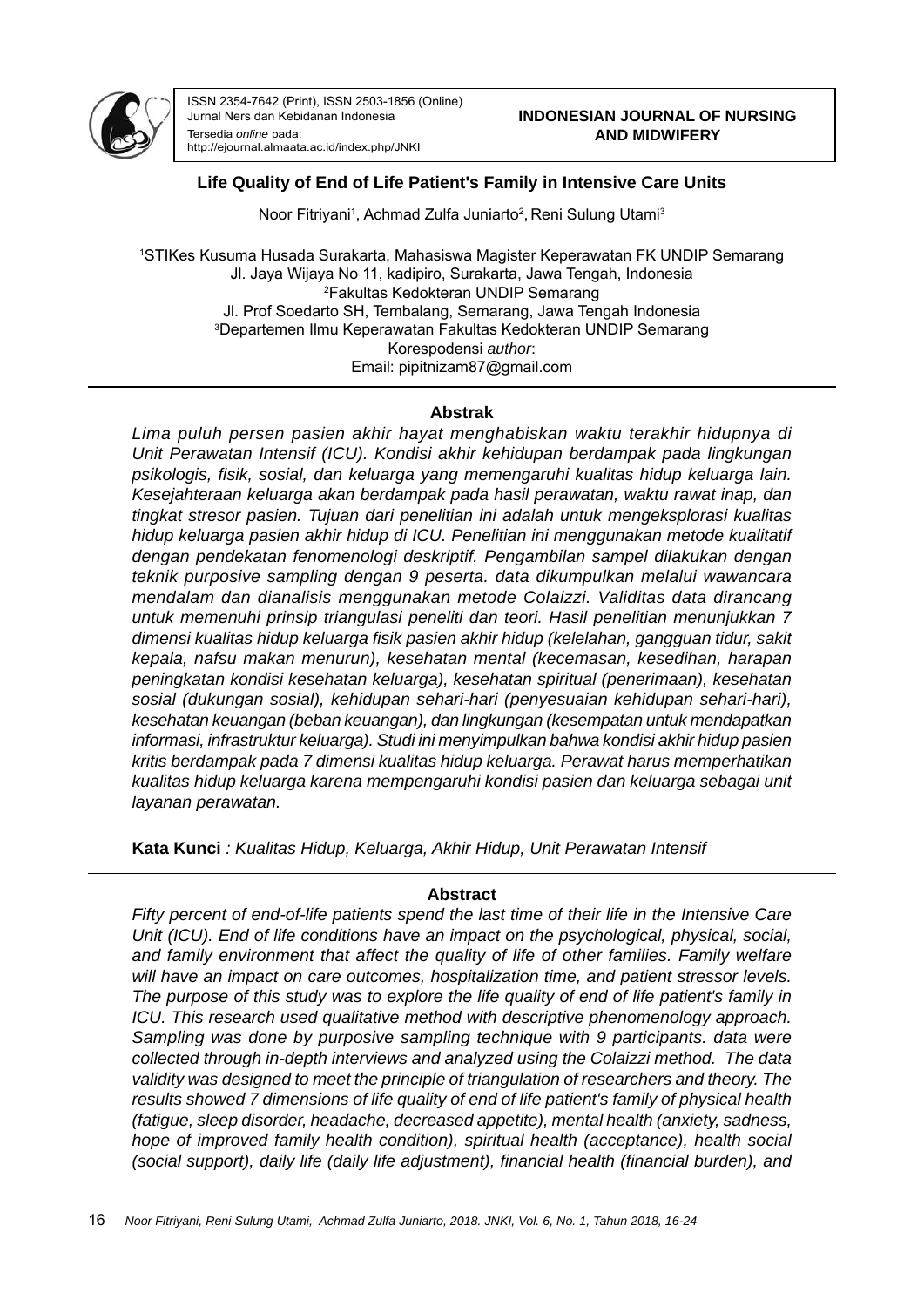

ISSN 2354-7642 (Print), ISSN 2503-1856 (Online) Jurnal Ners dan Kebidanan Indonesia Tersedia *online* pada: http://ejournal.almaata.ac.id/index.php/JNKI

## **Life Quality of End of Life Patient's Family in Intensive Care Units**

Noor Fitriyani<sup>1</sup>, Achmad Zulfa Juniarto<sup>2</sup>, Reni Sulung Utami<sup>3</sup>

1 STIKes Kusuma Husada Surakarta, Mahasiswa Magister Keperawatan FK UNDIP Semarang Jl. Jaya Wijaya No 11, kadipiro, Surakarta, Jawa Tengah, Indonesia 2 Fakultas Kedokteran UNDIP Semarang Jl. Prof Soedarto SH, Tembalang, Semarang, Jawa Tengah Indonesia 3 Departemen Ilmu Keperawatan Fakultas Kedokteran UNDIP Semarang Korespodensi *author*: Email: pipitnizam87@gmail.com

#### **Abstrak**

*Lima puluh persen pasien akhir hayat menghabiskan waktu terakhir hidupnya di Unit Perawatan Intensif (ICU). Kondisi akhir kehidupan berdampak pada lingkungan psikologis, fi sik, sosial, dan keluarga yang memengaruhi kualitas hidup keluarga lain. Kesejahteraan keluarga akan berdampak pada hasil perawatan, waktu rawat inap, dan tingkat stresor pasien. Tujuan dari penelitian ini adalah untuk mengeksplorasi kualitas hidup keluarga pasien akhir hidup di ICU. Penelitian ini menggunakan metode kualitatif dengan pendekatan fenomenologi deskriptif. Pengambilan sampel dilakukan dengan teknik purposive sampling dengan 9 peserta. data dikumpulkan melalui wawancara mendalam dan dianalisis menggunakan metode Colaizzi. Validitas data dirancang untuk memenuhi prinsip triangulasi peneliti dan teori. Hasil penelitian menunjukkan 7 dimensi kualitas hidup keluarga fi sik pasien akhir hidup (kelelahan, gangguan tidur, sakit kepala, nafsu makan menurun), kesehatan mental (kecemasan, kesedihan, harapan peningkatan kondisi kesehatan keluarga), kesehatan spiritual (penerimaan), kesehatan sosial (dukungan sosial), kehidupan sehari-hari (penyesuaian kehidupan sehari-hari), kesehatan keuangan (beban keuangan), dan lingkungan (kesempatan untuk mendapatkan informasi, infrastruktur keluarga). Studi ini menyimpulkan bahwa kondisi akhir hidup pasien kritis berdampak pada 7 dimensi kualitas hidup keluarga. Perawat harus memperhatikan kualitas hidup keluarga karena mempengaruhi kondisi pasien dan keluarga sebagai unit layanan perawatan.*

**Kata Kunci** *: Kualitas Hidup, Keluarga, Akhir Hidup, Unit Perawatan Intensif*

### **Abstract**

*Fifty percent of end-of-life patients spend the last time of their life in the Intensive Care Unit (ICU). End of life conditions have an impact on the psychological, physical, social, and family environment that affect the quality of life of other families. Family welfare will have an impact on care outcomes, hospitalization time, and patient stressor levels. The purpose of this study was to explore the life quality of end of life patient's family in ICU. This research used qualitative method with descriptive phenomenology approach. Sampling was done by purposive sampling technique with 9 participants. data were collected through in-depth interviews and analyzed using the Colaizzi method. The data validity was designed to meet the principle of triangulation of researchers and theory. The results showed 7 dimensions of life quality of end of life patient's family of physical health (fatigue, sleep disorder, headache, decreased appetite), mental health (anxiety, sadness, hope of improved family health condition), spiritual health (acceptance), health social (social support), daily life (daily life adjustment), financial health (financial burden), and*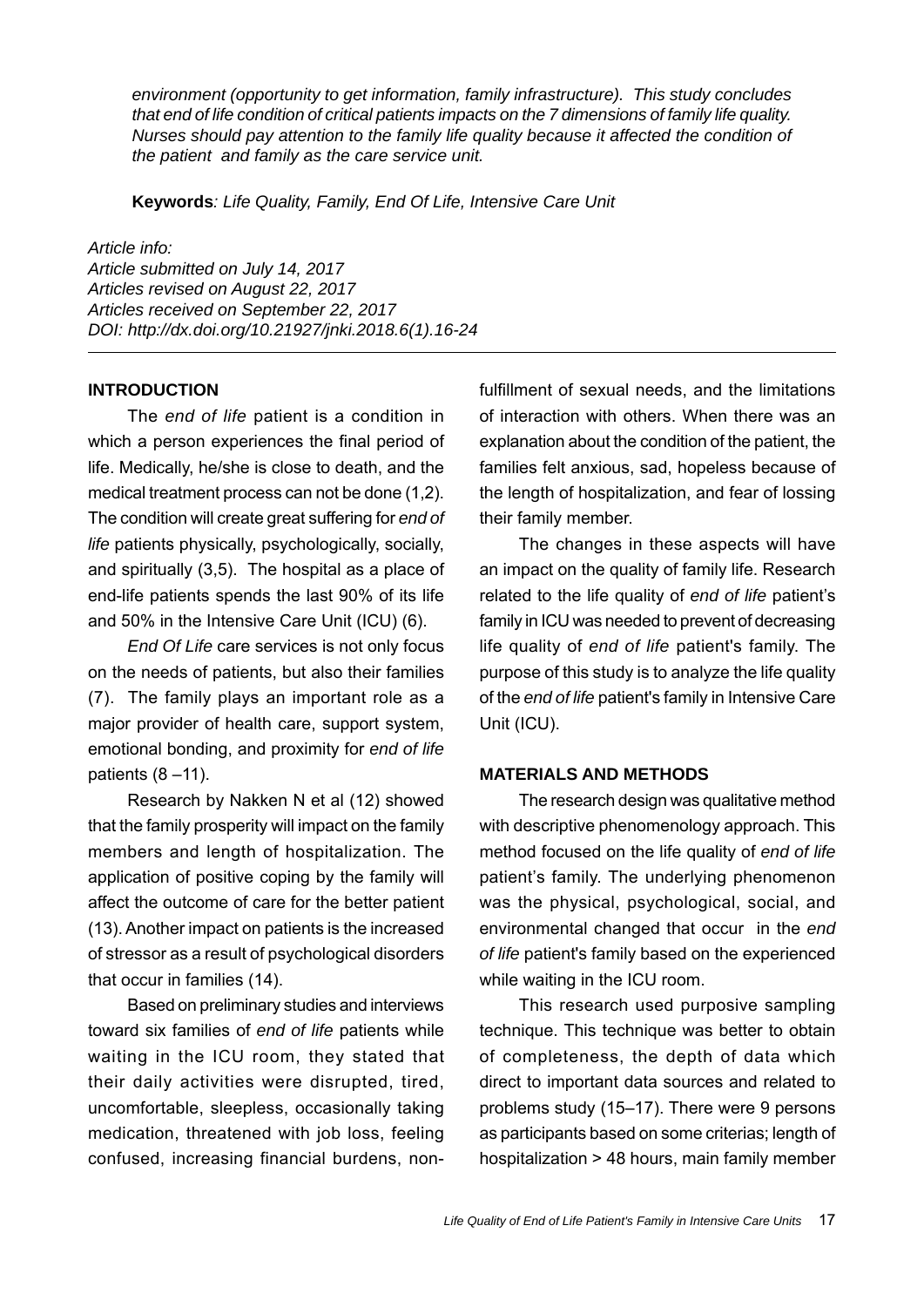*environment (opportunity to get information, family infrastructure). This study concludes that end of life condition of critical patients impacts on the 7 dimensions of family life quality. Nurses should pay attention to the family life quality because it affected the condition of the patient and family as the care service unit.*

**Keywords***: Life Quality, Family, End Of Life, Intensive Care Unit*

#### *Article info:*

*Article submitted on July 14, 2017 Articles revised on August 22, 2017 Articles received on September 22, 2017 DOI: http://dx.doi.org/10.21927/jnki.2018.6(1).16-24*

#### **INTRODUCTION**

The *end of life* patient is a condition in which a person experiences the final period of life. Medically, he/she is close to death, and the medical treatment process can not be done (1,2). The condition will create great suffering for *end of life* patients physically, psychologically, socially, and spiritually (3,5). The hospital as a place of end-life patients spends the last 90% of its life and 50% in the Intensive Care Unit (ICU) (6).

*End Of Life* care services is not only focus on the needs of patients, but also their families (7). The family plays an important role as a major provider of health care, support system, emotional bonding, and proximity for *end of life* patients  $(8 - 11)$ .

Research by Nakken N et al (12) showed that the family prosperity will impact on the family members and length of hospitalization. The application of positive coping by the family will affect the outcome of care for the better patient (13). Another impact on patients is the increased of stressor as a result of psychological disorders that occur in families (14).

Based on preliminary studies and interviews toward six families of *end of life* patients while waiting in the ICU room, they stated that their daily activities were disrupted, tired, uncomfortable, sleepless, occasionally taking medication, threatened with job loss, feeling confused, increasing financial burdens, nonfulfillment of sexual needs, and the limitations of interaction with others. When there was an explanation about the condition of the patient, the families felt anxious, sad, hopeless because of the length of hospitalization, and fear of lossing their family member.

The changes in these aspects will have an impact on the quality of family life. Research related to the life quality of *end of life* patient's family in ICU was needed to prevent of decreasing life quality of *end of life* patient's family. The purpose of this study is to analyze the life quality of the *end of life* patient's family in Intensive Care Unit (ICU).

#### **MATERIALS AND METHODS**

The research design was qualitative method with descriptive phenomenology approach. This method focused on the life quality of *end of life* patient's family. The underlying phenomenon was the physical, psychological, social, and environmental changed that occur in the *end of life* patient's family based on the experienced while waiting in the ICU room.

This research used purposive sampling technique. This technique was better to obtain of completeness, the depth of data which direct to important data sources and related to problems study (15–17). There were 9 persons as participants based on some criterias; length of hospitalization > 48 hours, main family member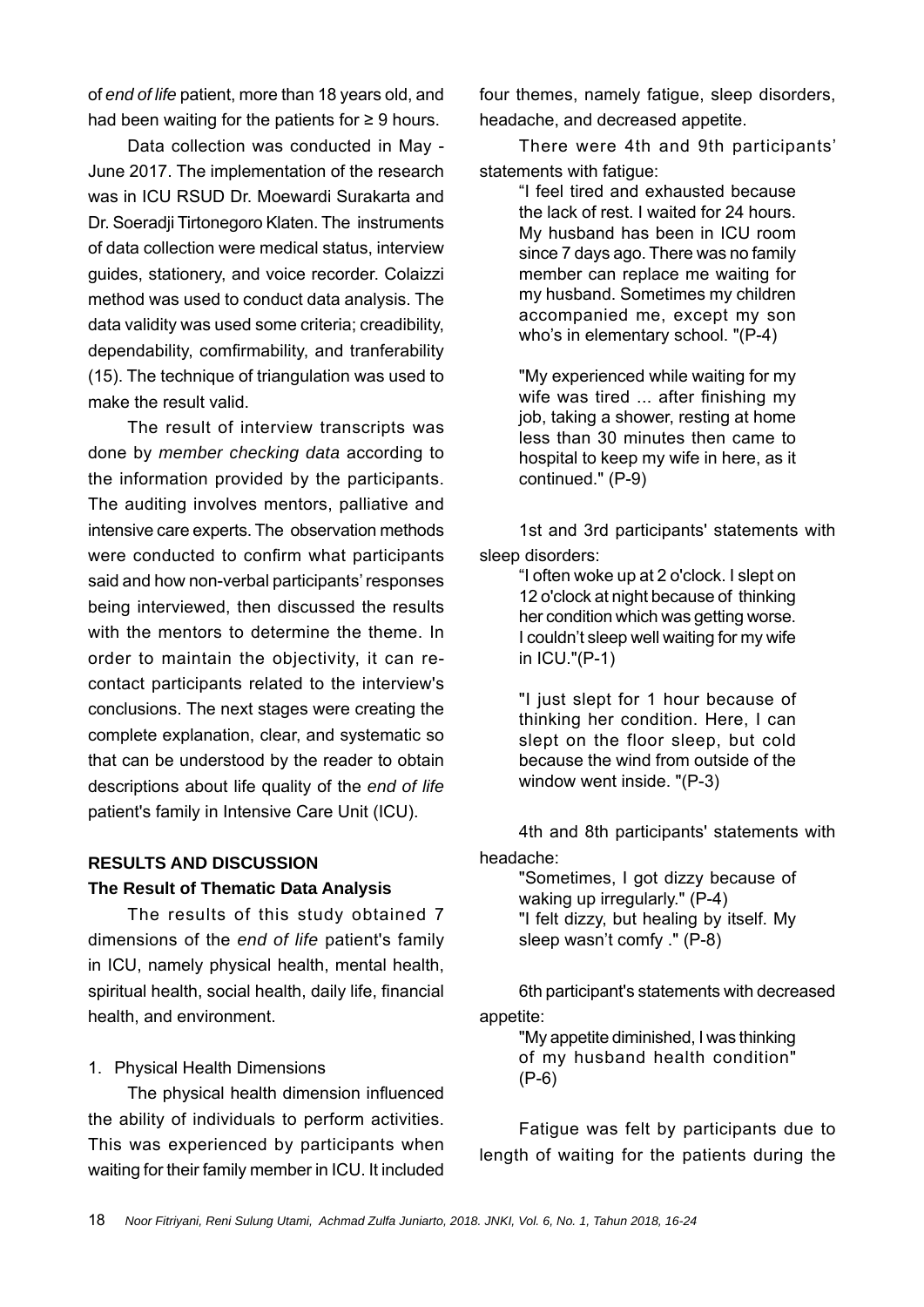of *end of life* patient, more than 18 years old, and had been waiting for the patients for  $\geq 9$  hours.

Data collection was conducted in May - June 2017. The implementation of the research was in ICU RSUD Dr. Moewardi Surakarta and Dr. Soeradji Tirtonegoro Klaten. The instruments of data collection were medical status, interview guides, stationery, and voice recorder. Colaizzi method was used to conduct data analysis. The data validity was used some criteria; creadibility, dependability, comfirmability, and tranferability (15). The technique of triangulation was used to make the result valid.

The result of interview transcripts was done by *member checking data* according to the information provided by the participants. The auditing involves mentors, palliative and intensive care experts. The observation methods were conducted to confirm what participants said and how non-verbal participants' responses being interviewed, then discussed the results with the mentors to determine the theme. In order to maintain the objectivity, it can recontact participants related to the interview's conclusions. The next stages were creating the complete explanation, clear, and systematic so that can be understood by the reader to obtain descriptions about life quality of the *end of life* patient's family in Intensive Care Unit (ICU).

# **RESULTS AND DISCUSSION The Result of Thematic Data Analysis**

The results of this study obtained 7 dimensions of the *end of life* patient's family in ICU, namely physical health, mental health, spiritual health, social health, daily life, financial health, and environment.

# 1. Physical Health Dimensions

The physical health dimension influenced the ability of individuals to perform activities. This was experienced by participants when waiting for their family member in ICU. It included

four themes, namely fatigue, sleep disorders, headache, and decreased appetite.

There were 4th and 9th participants' statements with fatique:

> "I feel tired and exhausted because the lack of rest. I waited for 24 hours. My husband has been in ICU room since 7 days ago. There was no family member can replace me waiting for my husband. Sometimes my children accompanied me, except my son who's in elementary school. "(P-4)

> "My experienced while waiting for my wife was tired ... after finishing my job, taking a shower, resting at home less than 30 minutes then came to hospital to keep my wife in here, as it continued." (P-9)

1st and 3rd participants' statements with sleep disorders:

> "I often woke up at 2 o'clock. I slept on 12 o'clock at night because of thinking her condition which was getting worse. I couldn't sleep well waiting for my wife in ICU."(P-1)

> "I just slept for 1 hour because of thinking her condition. Here, I can slept on the floor sleep, but cold because the wind from outside of the window went inside. "(P-3)

4th and 8th participants' statements with headache:

> "Sometimes, I got dizzy because of waking up irregularly." (P-4) "I felt dizzy, but healing by itself. My sleep wasn't comfy ." (P-8)

6th participant's statements with decreased appetite:

> "My appetite diminished, I was thinking of my husband health condition" (P-6)

Fatigue was felt by participants due to length of waiting for the patients during the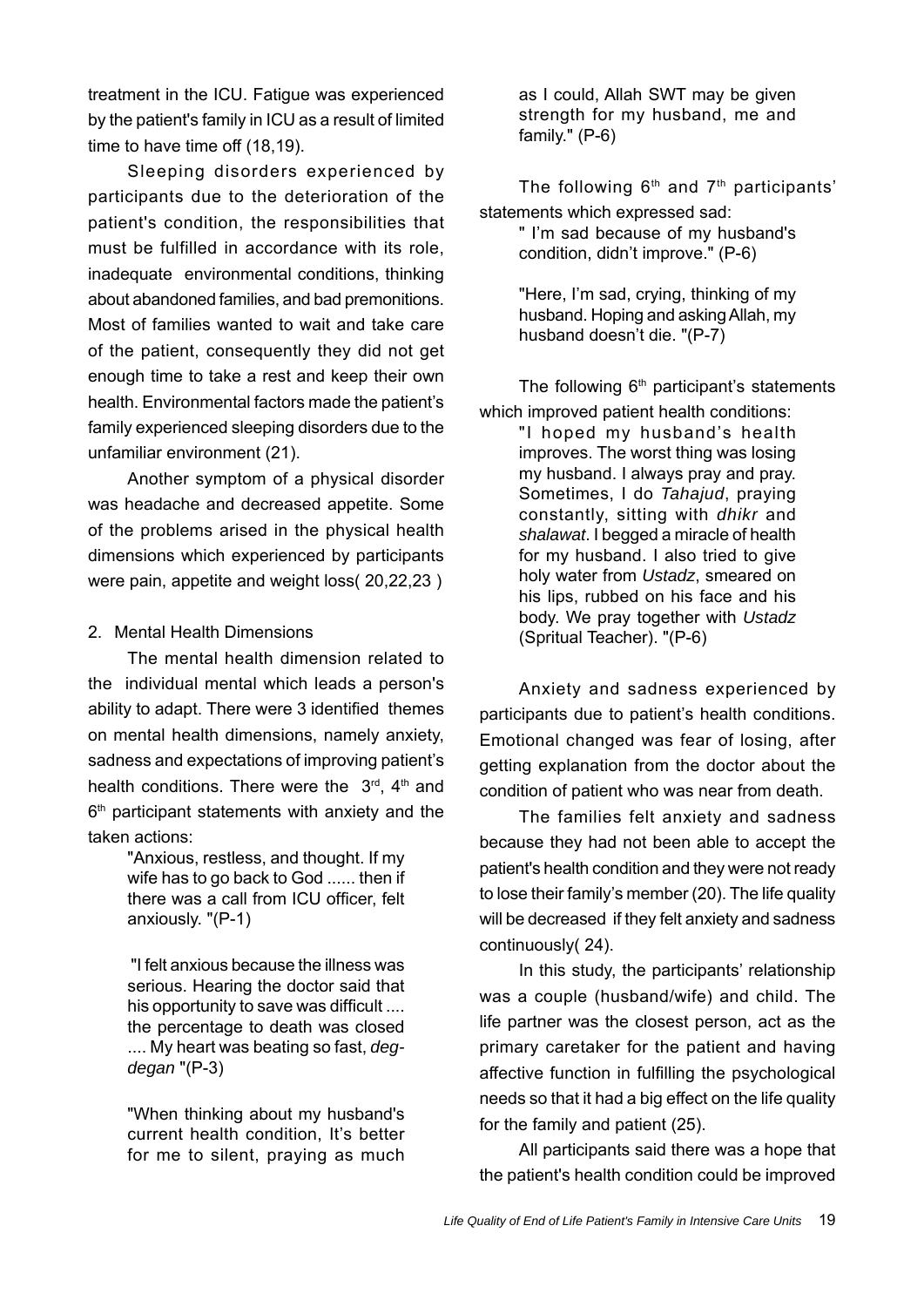treatment in the ICU. Fatigue was experienced by the patient's family in ICU as a result of limited time to have time off (18,19).

Sleeping disorders experienced by participants due to the deterioration of the patient's condition, the responsibilities that must be fulfilled in accordance with its role, inadequate environmental conditions, thinking about abandoned families, and bad premonitions. Most of families wanted to wait and take care of the patient, consequently they did not get enough time to take a rest and keep their own health. Environmental factors made the patient's family experienced sleeping disorders due to the unfamiliar environment (21).

Another symptom of a physical disorder was headache and decreased appetite. Some of the problems arised in the physical health dimensions which experienced by participants were pain, appetite and weight loss( 20,22,23 )

### 2. Mental Health Dimensions

The mental health dimension related to the individual mental which leads a person's ability to adapt. There were 3 identified themes on mental health dimensions, namely anxiety, sadness and expectations of improving patient's health conditions. There were the  $3<sup>rd</sup>$ ,  $4<sup>th</sup>$  and  $6<sup>th</sup>$  participant statements with anxiety and the taken actions:

> "Anxious, restless, and thought. If my wife has to go back to God ...... then if there was a call from ICU officer, felt anxiously. "(P-1)

> "I felt anxious because the illness was serious. Hearing the doctor said that his opportunity to save was difficult .... the percentage to death was closed .... My heart was beating so fast, *degdegan* "(P-3)

> "When thinking about my husband's current health condition, It's better for me to silent, praying as much

as I could, Allah SWT may be given strength for my husband, me and family." (P-6)

The following  $6<sup>th</sup>$  and  $7<sup>th</sup>$  participants' statements which expressed sad: " I'm sad because of my husband's condition, didn't improve." (P-6)

> "Here, I'm sad, crying, thinking of my husband. Hoping and asking Allah, my husband doesn't die. "(P-7)

The following  $6<sup>th</sup>$  participant's statements which improved patient health conditions: "I hoped my husband's health improves. The worst thing was losing my husband. I always pray and pray. Sometimes, I do *Tahajud*, praying constantly, sitting with *dhikr* and *shalawat*. I begged a miracle of health for my husband. I also tried to give holy water from *Ustadz*, smeared on his lips, rubbed on his face and his body. We pray together with *Ustadz*  (Spritual Teacher). "(P-6)

Anxiety and sadness experienced by participants due to patient's health conditions. Emotional changed was fear of losing, after getting explanation from the doctor about the condition of patient who was near from death.

The families felt anxiety and sadness because they had not been able to accept the patient's health condition and they were not ready to lose their family's member (20). The life quality will be decreased if they felt anxiety and sadness continuously( 24).

In this study, the participants' relationship was a couple (husband/wife) and child. The life partner was the closest person, act as the primary caretaker for the patient and having affective function in fulfilling the psychological needs so that it had a big effect on the life quality for the family and patient (25).

All participants said there was a hope that the patient's health condition could be improved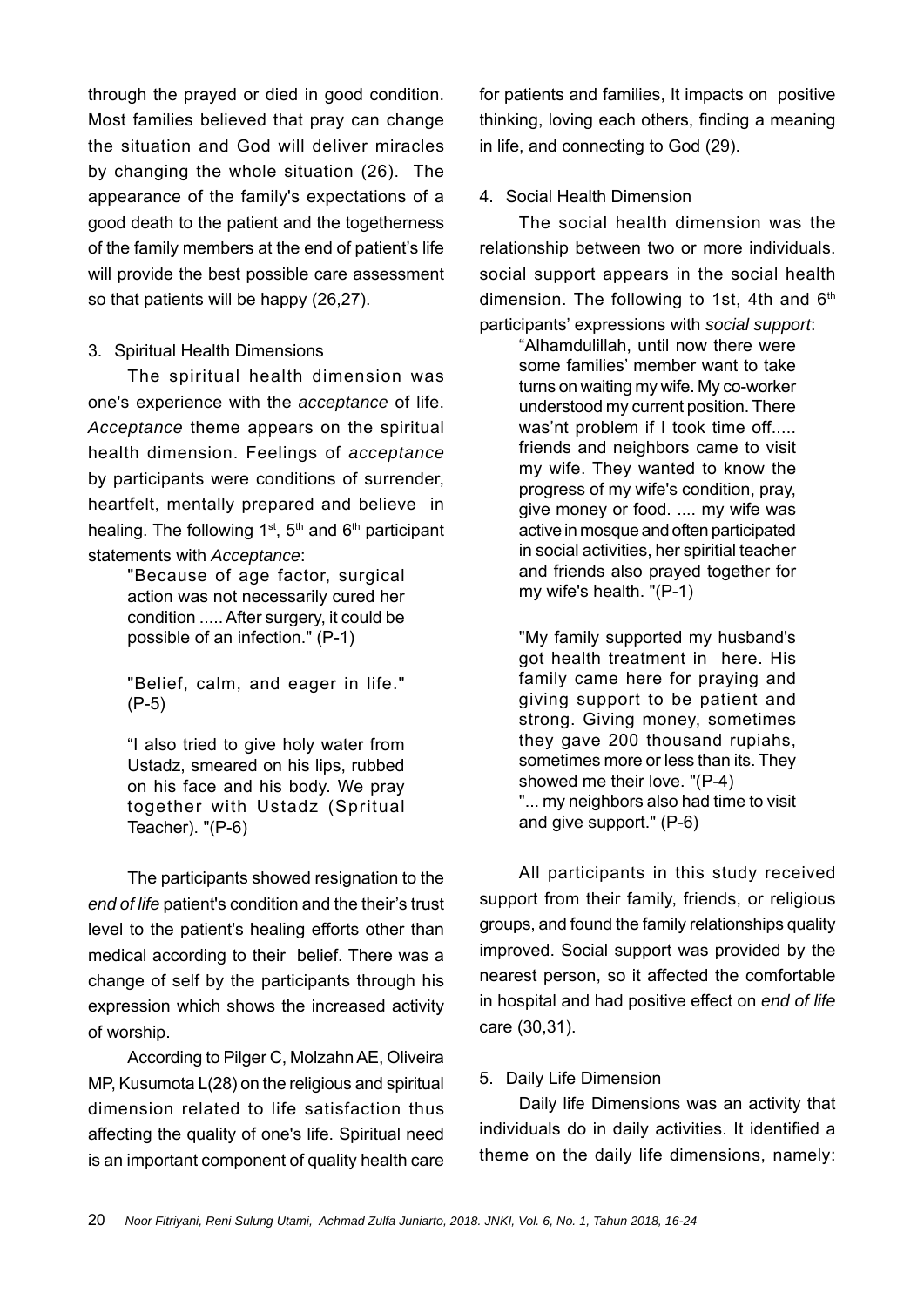through the prayed or died in good condition. Most families believed that pray can change the situation and God will deliver miracles by changing the whole situation (26). The appearance of the family's expectations of a good death to the patient and the togetherness of the family members at the end of patient's life will provide the best possible care assessment so that patients will be happy (26,27).

### 3. Spiritual Health Dimensions

The spiritual health dimension was one's experience with the *acceptance* of life. *Acceptance* theme appears on the spiritual health dimension. Feelings of *acceptance* by participants were conditions of surrender, heartfelt, mentally prepared and believe in healing. The following  $1^{st}$ ,  $5^{th}$  and  $6^{th}$  participant statements with *Acceptance*:

> "Because of age factor, surgical action was not necessarily cured her condition ..... After surgery, it could be possible of an infection." (P-1)

> "Belief, calm, and eager in life." (P-5)

> "I also tried to give holy water from Ustadz, smeared on his lips, rubbed on his face and his body. We pray together with Ustadz (Spritual Teacher). "(P-6)

The participants showed resignation to the *end of life* patient's condition and the their's trust level to the patient's healing efforts other than medical according to their belief. There was a change of self by the participants through his expression which shows the increased activity of worship.

According to Pilger C, Molzahn AE, Oliveira MP, Kusumota L(28) on the religious and spiritual dimension related to life satisfaction thus affecting the quality of one's life. Spiritual need is an important component of quality health care for patients and families, It impacts on positive thinking, loving each others, finding a meaning in life, and connecting to God (29).

## 4. Social Health Dimension

The social health dimension was the relationship between two or more individuals. social support appears in the social health dimension. The following to 1st, 4th and  $6<sup>th</sup>$ participants' expressions with *social support*:

"Alhamdulillah, until now there were some families' member want to take turns on waiting my wife. My co-worker understood my current position. There was'nt problem if I took time off..... friends and neighbors came to visit my wife. They wanted to know the progress of my wife's condition, pray, give money or food. .... my wife was active in mosque and often participated in social activities, her spiritial teacher and friends also prayed together for my wife's health. "(P-1)

"My family supported my husband's got health treatment in here. His family came here for praying and giving support to be patient and strong. Giving money, sometimes they gave 200 thousand rupiahs, sometimes more or less than its. They showed me their love. "(P-4) "... my neighbors also had time to visit and give support." (P-6)

All participants in this study received support from their family, friends, or religious groups, and found the family relationships quality improved. Social support was provided by the nearest person, so it affected the comfortable in hospital and had positive effect on *end of life* care (30,31).

# 5. Daily Life Dimension

Daily life Dimensions was an activity that individuals do in daily activities. It identified a theme on the daily life dimensions, namely: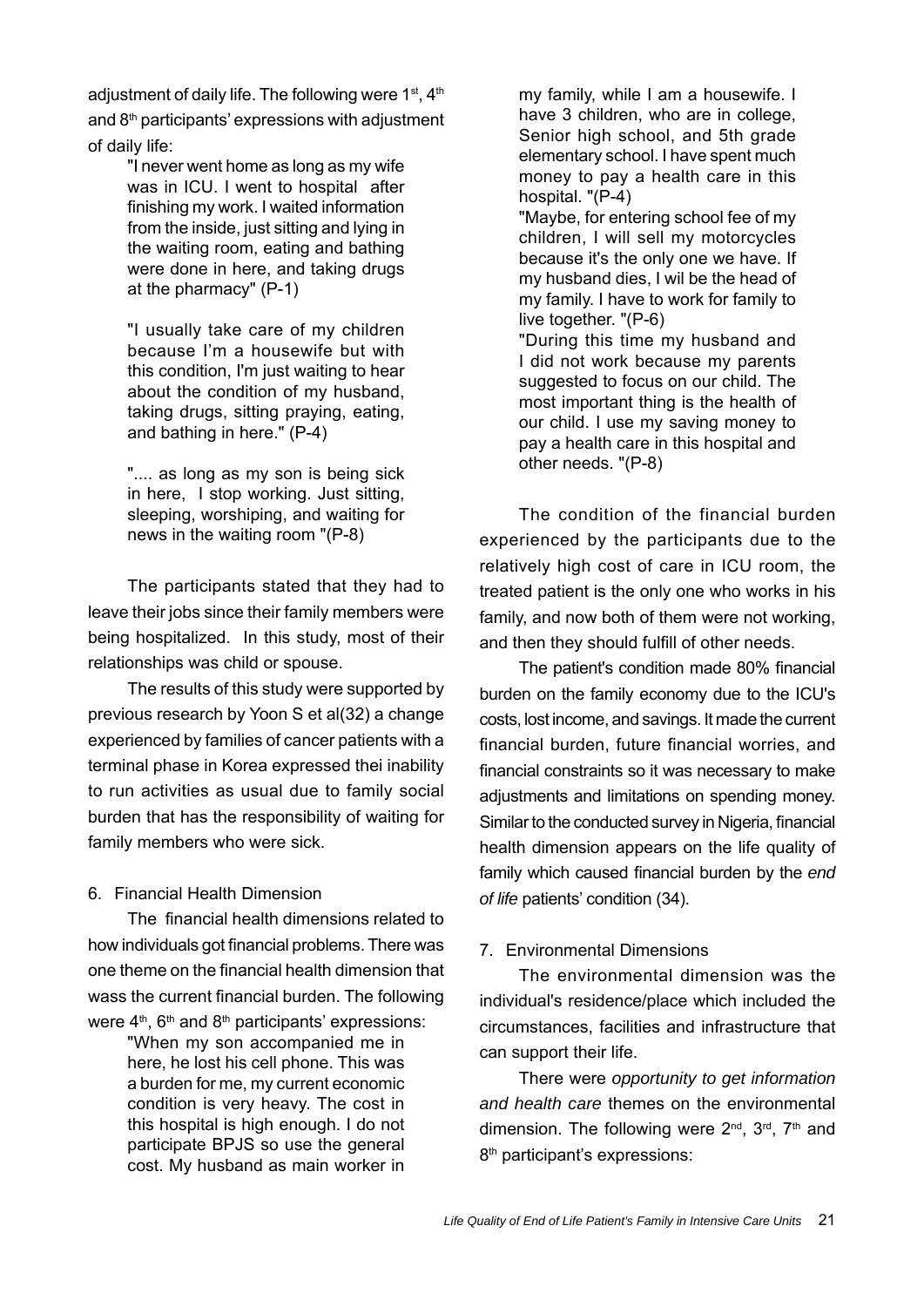adjustment of daily life. The following were 1<sup>st</sup>, 4<sup>th</sup> and  $8<sup>th</sup>$  participants' expressions with adjustment of daily life:

> "I never went home as long as my wife was in ICU. I went to hospital after finishing my work. I waited information from the inside, just sitting and lying in the waiting room, eating and bathing were done in here, and taking drugs at the pharmacy" (P-1)

> "I usually take care of my children because I'm a housewife but with this condition, I'm just waiting to hear about the condition of my husband, taking drugs, sitting praying, eating, and bathing in here." (P-4)

> ".... as long as my son is being sick in here, I stop working. Just sitting, sleeping, worshiping, and waiting for news in the waiting room "(P-8)

The participants stated that they had to leave their jobs since their family members were being hospitalized. In this study, most of their relationships was child or spouse.

The results of this study were supported by previous research by Yoon S et al(32) a change experienced by families of cancer patients with a terminal phase in Korea expressed thei inability to run activities as usual due to family social burden that has the responsibility of waiting for family members who were sick.

### 6. Financial Health Dimension

The financial health dimensions related to how individuals got financial problems. There was one theme on the financial health dimension that wass the current financial burden. The following were  $4<sup>th</sup>$ ,  $6<sup>th</sup>$  and  $8<sup>th</sup>$  participants' expressions:

> "When my son accompanied me in here, he lost his cell phone. This was a burden for me, my current economic condition is very heavy. The cost in this hospital is high enough. I do not participate BPJS so use the general cost. My husband as main worker in

my family, while I am a housewife. I have 3 children, who are in college, Senior high school, and 5th grade elementary school. I have spent much money to pay a health care in this hospital. "(P-4)

"Maybe, for entering school fee of my children, I will sell my motorcycles because it's the only one we have. If my husband dies, I wil be the head of my family. I have to work for family to live together. "(P-6)

"During this time my husband and I did not work because my parents suggested to focus on our child. The most important thing is the health of our child. I use my saving money to pay a health care in this hospital and other needs. "(P-8)

The condition of the financial burden experienced by the participants due to the relatively high cost of care in ICU room, the treated patient is the only one who works in his family, and now both of them were not working, and then they should fulfill of other needs.

The patient's condition made 80% financial burden on the family economy due to the ICU's costs, lost income, and savings. It made the current financial burden, future financial worries, and financial constraints so it was necessary to make adiustments and limitations on spending money. Similar to the conducted survey in Nigeria, financial health dimension appears on the life quality of family which caused financial burden by the *end of life* patients' condition (34).

# 7. Environmental Dimensions

The environmental dimension was the individual's residence/place which included the circumstances, facilities and infrastructure that can support their life.

There were *opportunity to get information and health care* themes on the environmental dimension. The following were  $2^{nd}$ ,  $3^{rd}$ ,  $7^{th}$  and 8<sup>th</sup> participant's expressions: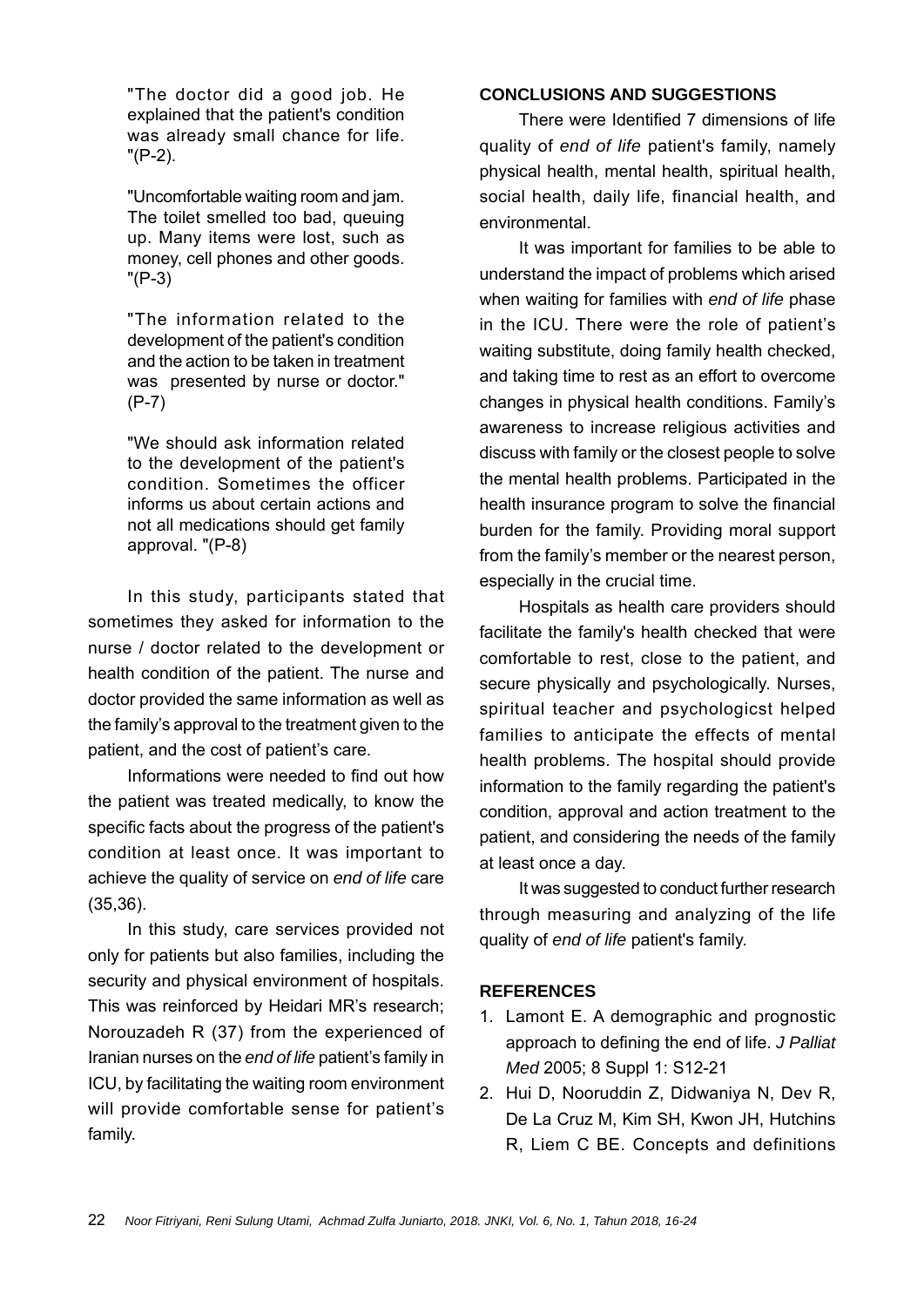"The doctor did a good job. He explained that the patient's condition was already small chance for life. "(P-2).

"Uncomfortable waiting room and jam. The toilet smelled too bad, queuing up. Many items were lost, such as money, cell phones and other goods. "(P-3)

"The information related to the development of the patient's condition and the action to be taken in treatment was presented by nurse or doctor." (P-7)

"We should ask information related to the development of the patient's condition. Sometimes the officer informs us about certain actions and not all medications should get family approval. "(P-8)

In this study, participants stated that sometimes they asked for information to the nurse / doctor related to the development or health condition of the patient. The nurse and doctor provided the same information as well as the family's approval to the treatment given to the patient, and the cost of patient's care.

Informations were needed to find out how the patient was treated medically, to know the specific facts about the progress of the patient's condition at least once. It was important to achieve the quality of service on *end of life* care (35,36).

In this study, care services provided not only for patients but also families, including the security and physical environment of hospitals. This was reinforced by Heidari MR's research; Norouzadeh R (37) from the experienced of Iranian nurses on the *end of life* patient's family in ICU, by facilitating the waiting room environment will provide comfortable sense for patient's family.

### **CONCLUSIONS AND SUGGESTIONS**

There were Identified 7 dimensions of life quality of *end of life* patient's family, namely physical health, mental health, spiritual health, social health, daily life, financial health, and environmental.

It was important for families to be able to understand the impact of problems which arised when waiting for families with *end of life* phase in the ICU. There were the role of patient's waiting substitute, doing family health checked, and taking time to rest as an effort to overcome changes in physical health conditions. Family's awareness to increase religious activities and discuss with family or the closest people to solve the mental health problems. Participated in the health insurance program to solve the financial burden for the family. Providing moral support from the family's member or the nearest person, especially in the crucial time.

Hospitals as health care providers should facilitate the family's health checked that were comfortable to rest, close to the patient, and secure physically and psychologically. Nurses, spiritual teacher and psychologicst helped families to anticipate the effects of mental health problems. The hospital should provide information to the family regarding the patient's condition, approval and action treatment to the patient, and considering the needs of the family at least once a day.

It was suggested to conduct further research through measuring and analyzing of the life quality of *end of life* patient's family.

#### **REFERENCES**

- 1. Lamont E. A demographic and prognostic approach to defining the end of life. *J Palliat Med* 2005; 8 Suppl 1: S12-21
- 2. Hui D, Nooruddin Z, Didwaniya N, Dev R, De La Cruz M, Kim SH, Kwon JH, Hutchins R, Liem C BE. Concepts and definitions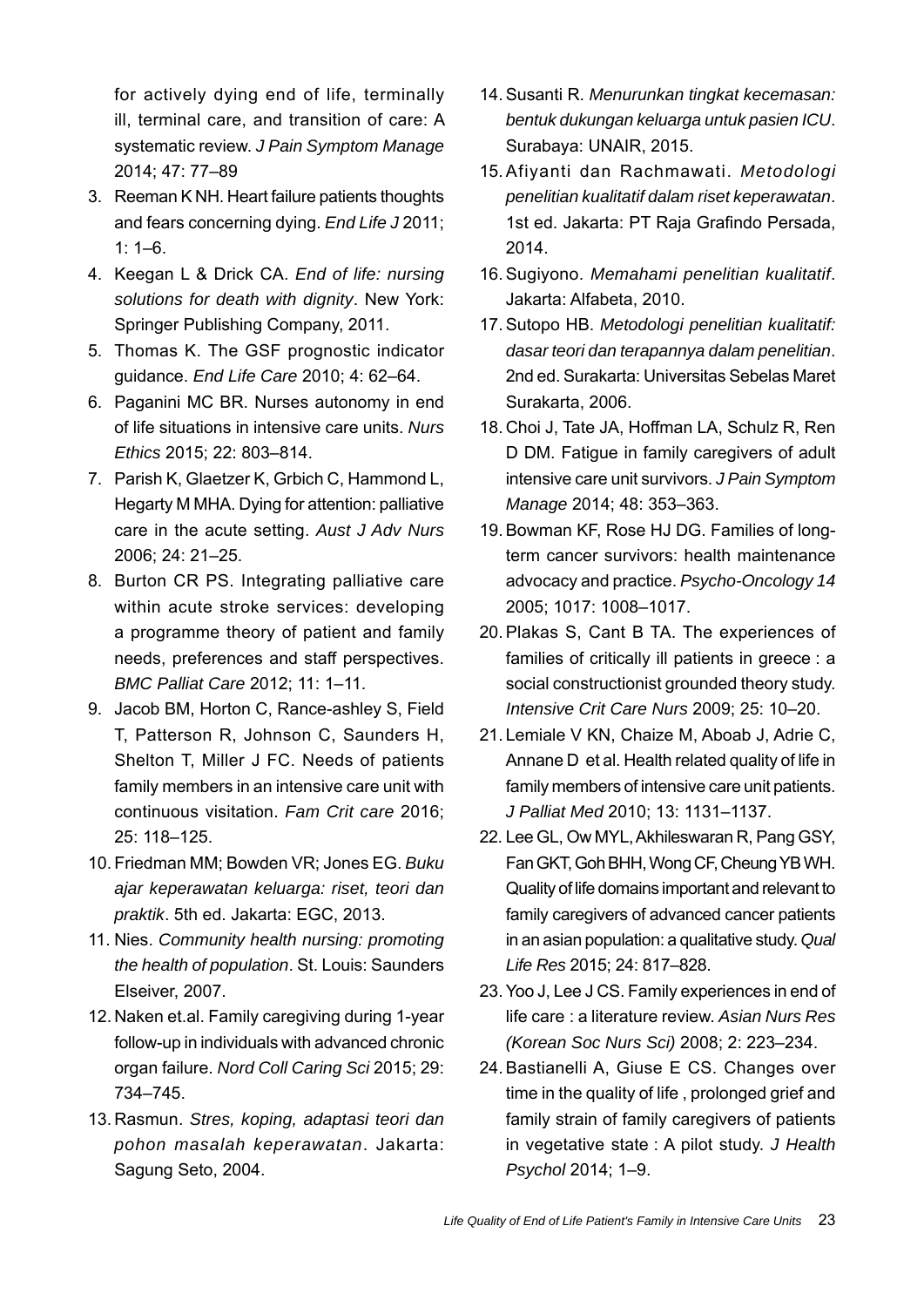for actively dying end of life, terminally ill, terminal care, and transition of care: A systematic review. *J Pain Symptom Manage* 2014; 47: 77–89

- 3. Reeman K NH. Heart failure patients thoughts and fears concerning dying. *End Life J* 2011;  $1: 1-6.$
- 4. Keegan L & Drick CA. *End of life: nursing solutions for death with dignity*. New York: Springer Publishing Company, 2011.
- 5. Thomas K. The GSF prognostic indicator guidance. *End Life Care* 2010; 4: 62–64.
- 6. Paganini MC BR. Nurses autonomy in end of life situations in intensive care units. *Nurs Ethics* 2015; 22: 803–814.
- 7. Parish K, Glaetzer K, Grbich C, Hammond L, Hegarty M MHA. Dying for attention: palliative care in the acute setting. *Aust J Adv Nurs* 2006; 24: 21–25.
- 8. Burton CR PS. Integrating palliative care within acute stroke services: developing a programme theory of patient and family needs, preferences and staff perspectives. *BMC Palliat Care* 2012; 11: 1–11.
- 9. Jacob BM, Horton C, Rance-ashley S, Field T, Patterson R, Johnson C, Saunders H, Shelton T, Miller J FC. Needs of patients family members in an intensive care unit with continuous visitation. *Fam Crit care* 2016; 25: 118–125.
- 10. Friedman MM; Bowden VR; Jones EG. *Buku ajar keperawatan keluarga: riset, teori dan praktik*. 5th ed. Jakarta: EGC, 2013.
- 11. Nies. *Community health nursing: promoting the health of population*. St. Louis: Saunders Elseiver, 2007.
- 12. Naken et.al. Family caregiving during 1-year follow-up in individuals with advanced chronic organ failure. *Nord Coll Caring Sci* 2015; 29: 734–745.
- 13. Rasmun. *Stres, koping, adaptasi teori dan pohon masalah keperawatan*. Jakarta: Sagung Seto, 2004.
- 14. Susanti R. *Menurunkan tingkat kecemasan: bentuk dukungan keluarga untuk pasien ICU*. Surabaya: UNAIR, 2015.
- 15. Afiyanti dan Rachmawati. *Metodologi penelitian kualitatif dalam riset keperawatan*. 1st ed. Jakarta: PT Raja Grafindo Persada, 2014.
- 16. Sugiyono. *Memahami penelitian kualitatif*. Jakarta: Alfabeta, 2010.
- 17. Sutopo HB. *Metodologi penelitian kualitatif: dasar teori dan terapannya dalam penelitian*. 2nd ed. Surakarta: Universitas Sebelas Maret Surakarta, 2006.
- 18. Choi J, Tate JA, Hoffman LA, Schulz R, Ren D DM. Fatigue in family caregivers of adult intensive care unit survivors. *J Pain Symptom Manage* 2014; 48: 353–363.
- 19. Bowman KF, Rose HJ DG. Families of longterm cancer survivors: health maintenance advocacy and practice. *Psycho-Oncology 14* 2005; 1017: 1008–1017.
- 20. Plakas S, Cant B TA. The experiences of families of critically ill patients in greece : a social constructionist grounded theory study. *Intensive Crit Care Nurs* 2009; 25: 10–20.
- 21. Lemiale V KN, Chaize M, Aboab J, Adrie C, Annane D et al. Health related quality of life in family members of intensive care unit patients. *J Palliat Med* 2010; 13: 1131–1137.
- 22. Lee GL, Ow MYL, Akhileswaran R, Pang GSY, Fan GKT, Goh BHH, Wong CF, Cheung YB WH. Quality of life domains important and relevant to family caregivers of advanced cancer patients in an asian population: a qualitative study. *Qual Life Res* 2015; 24: 817–828.
- 23. Yoo J, Lee J CS. Family experiences in end of life care : a literature review. *Asian Nurs Res (Korean Soc Nurs Sci)* 2008; 2: 223–234.
- 24. Bastianelli A, Giuse E CS. Changes over time in the quality of life , prolonged grief and family strain of family caregivers of patients in vegetative state : A pilot study. *J Health Psychol* 2014; 1–9.